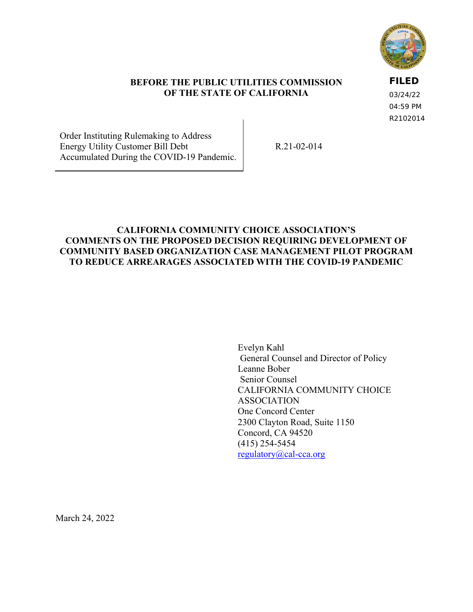

#### **BEFORE THE PUBLIC UTILITIES COMMISSION OF THE STATE OF CALIFORNIA**

#### **FILED**

03/24/22 04:59 PM R2102014

Order Instituting Rulemaking to Address Energy Utility Customer Bill Debt Accumulated During the COVID-19 Pandemic.

R.21-02-014

### **CALIFORNIA COMMUNITY CHOICE ASSOCIATION'S COMMENTS ON THE PROPOSED DECISION REQUIRING DEVELOPMENT OF COMMUNITY BASED ORGANIZATION CASE MANAGEMENT PILOT PROGRAM TO REDUCE ARREARAGES ASSOCIATED WITH THE COVID-19 PANDEMIC**

Evelyn Kahl General Counsel and Director of Policy Leanne Bober Senior Counsel CALIFORNIA COMMUNITY CHOICE ASSOCIATION One Concord Center 2300 Clayton Road, Suite 1150 Concord, CA 94520 (415) 254-5454 [regulatory@cal-cca.org](mailto:regulatory@cal-cca.org)

March 24, 2022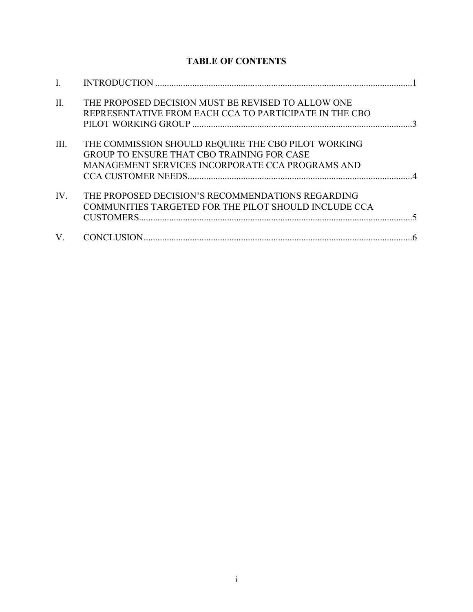## **TABLE OF CONTENTS**

| $\Pi$ . | THE PROPOSED DECISION MUST BE REVISED TO ALLOW ONE<br>REPRESENTATIVE FROM EACH CCA TO PARTICIPATE IN THE CBO                                                 |  |
|---------|--------------------------------------------------------------------------------------------------------------------------------------------------------------|--|
| III.    | THE COMMISSION SHOULD REQUIRE THE CBO PILOT WORKING<br><b>GROUP TO ENSURE THAT CBO TRAINING FOR CASE</b><br>MANAGEMENT SERVICES INCORPORATE CCA PROGRAMS AND |  |
| IV.     | THE PROPOSED DECISION'S RECOMMENDATIONS REGARDING<br>COMMUNITIES TARGETED FOR THE PILOT SHOULD INCLUDE CCA                                                   |  |
| V.      |                                                                                                                                                              |  |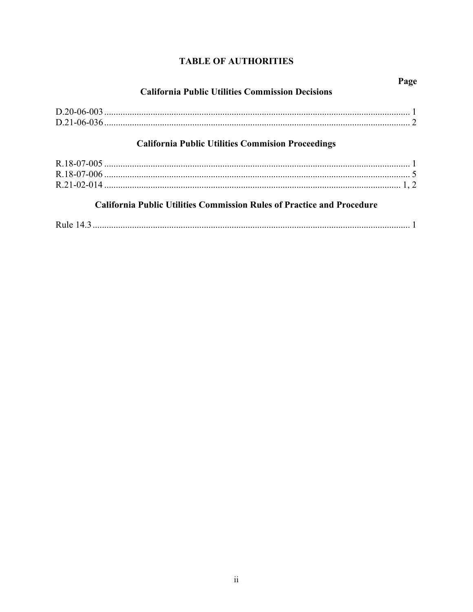# **TABLE OF AUTHORITIES**

| <b>California Public Utilities Commission Decisions</b>                       | Page |  |  |
|-------------------------------------------------------------------------------|------|--|--|
|                                                                               |      |  |  |
|                                                                               |      |  |  |
| <b>California Public Utilities Commision Proceedings</b>                      |      |  |  |
|                                                                               |      |  |  |
|                                                                               |      |  |  |
| <b>California Public Utilities Commission Rules of Practice and Procedure</b> |      |  |  |
|                                                                               |      |  |  |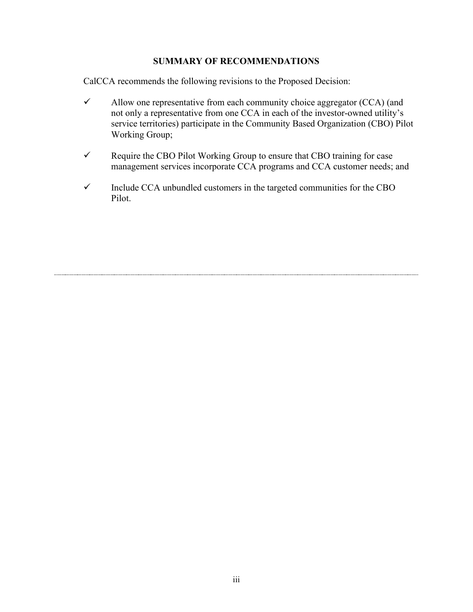#### **SUMMARY OF RECOMMENDATIONS**

CalCCA recommends the following revisions to the Proposed Decision:

- $\checkmark$  Allow one representative from each community choice aggregator (CCA) (and not only a representative from one CCA in each of the investor-owned utility's service territories) participate in the Community Based Organization (CBO) Pilot Working Group;
- $\checkmark$  Require the CBO Pilot Working Group to ensure that CBO training for case management services incorporate CCA programs and CCA customer needs; and
- $\checkmark$  Include CCA unbundled customers in the targeted communities for the CBO Pilot.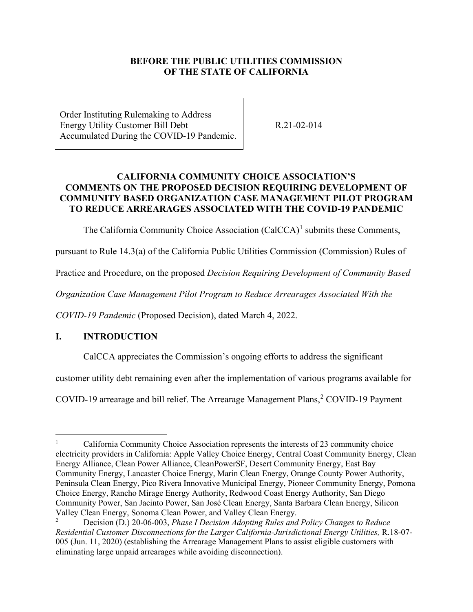#### **BEFORE THE PUBLIC UTILITIES COMMISSION OF THE STATE OF CALIFORNIA**

Order Instituting Rulemaking to Address Energy Utility Customer Bill Debt Accumulated During the COVID-19 Pandemic.

R.21-02-014

#### **CALIFORNIA COMMUNITY CHOICE ASSOCIATION'S COMMENTS ON THE PROPOSED DECISION REQUIRING DEVELOPMENT OF COMMUNITY BASED ORGANIZATION CASE MANAGEMENT PILOT PROGRAM TO REDUCE ARREARAGES ASSOCIATED WITH THE COVID-19 PANDEMIC**

The California Community Choice Association (CalCCA)<sup>[1](#page-4-1)</sup> submits these Comments,

pursuant to Rule 14.3(a) of the California Public Utilities Commission (Commission) Rules of

Practice and Procedure, on the proposed *Decision Requiring Development of Community Based* 

*Organization Case Management Pilot Program to Reduce Arrearages Associated With the* 

*COVID-19 Pandemic* (Proposed Decision), dated March 4, 2022.

#### <span id="page-4-0"></span>**I. INTRODUCTION**

CalCCA appreciates the Commission's ongoing efforts to address the significant

customer utility debt remaining even after the implementation of various programs available for

COVID-19 arrearage and bill relief. The Arrearage Management Plans,<sup>[2](#page-4-2)</sup> COVID-19 Payment

<span id="page-4-1"></span><sup>1</sup> California Community Choice Association represents the interests of 23 community choice electricity providers in California: Apple Valley Choice Energy, Central Coast Community Energy, Clean Energy Alliance, Clean Power Alliance, CleanPowerSF, Desert Community Energy, East Bay Community Energy, Lancaster Choice Energy, Marin Clean Energy, Orange County Power Authority, Peninsula Clean Energy, Pico Rivera Innovative Municipal Energy, Pioneer Community Energy, Pomona Choice Energy, Rancho Mirage Energy Authority, Redwood Coast Energy Authority, San Diego Community Power, San Jacinto Power, San José Clean Energy, Santa Barbara Clean Energy, Silicon Valley Clean Energy, Sonoma Clean Power, and Valley Clean Energy.

<span id="page-4-2"></span><sup>2</sup> Decision (D.) 20-06-003, *Phase I Decision Adopting Rules and Policy Changes to Reduce Residential Customer Disconnections for the Larger California-Jurisdictional Energy Utilities,* R.18-07- 005 (Jun. 11, 2020) (establishing the Arrearage Management Plans to assist eligible customers with eliminating large unpaid arrearages while avoiding disconnection).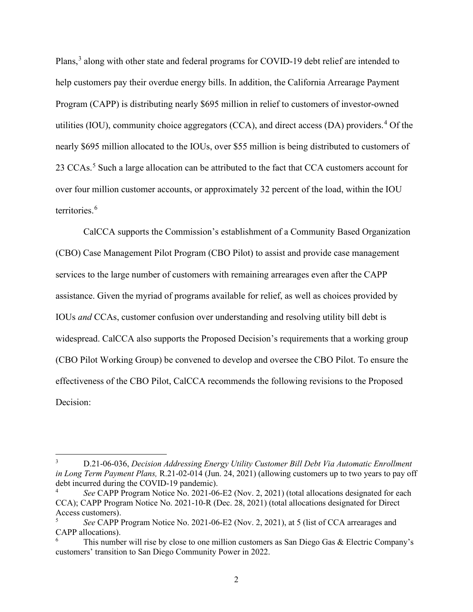Plans,<sup>[3](#page-5-0)</sup> along with other state and federal programs for COVID-19 debt relief are intended to help customers pay their overdue energy bills. In addition, the California Arrearage Payment Program (CAPP) is distributing nearly \$695 million in relief to customers of investor-owned utilities (IOU), community choice aggregators (CCA), and direct access (DA) providers.<sup>[4](#page-5-1)</sup> Of the nearly \$695 million allocated to the IOUs, over \$55 million is being distributed to customers of 23 CCAs.<sup>[5](#page-5-2)</sup> Such a large allocation can be attributed to the fact that CCA customers account for over four million customer accounts, or approximately 32 percent of the load, within the IOU territories.<sup>[6](#page-5-3)</sup>

CalCCA supports the Commission's establishment of a Community Based Organization (CBO) Case Management Pilot Program (CBO Pilot) to assist and provide case management services to the large number of customers with remaining arrearages even after the CAPP assistance. Given the myriad of programs available for relief, as well as choices provided by IOUs *and* CCAs, customer confusion over understanding and resolving utility bill debt is widespread. CalCCA also supports the Proposed Decision's requirements that a working group (CBO Pilot Working Group) be convened to develop and oversee the CBO Pilot. To ensure the effectiveness of the CBO Pilot, CalCCA recommends the following revisions to the Proposed Decision:

<span id="page-5-0"></span><sup>3</sup> D.21-06-036, *Decision Addressing Energy Utility Customer Bill Debt Via Automatic Enrollment in Long Term Payment Plans,* R.21-02-014 (Jun. 24, 2021) (allowing customers up to two years to pay off debt incurred during the COVID-19 pandemic).

<span id="page-5-1"></span><sup>4</sup> *See* CAPP Program Notice No. 2021-06-E2 (Nov. 2, 2021) (total allocations designated for each CCA); CAPP Program Notice No. 2021-10-R (Dec. 28, 2021) (total allocations designated for Direct Access customers).

<span id="page-5-2"></span>*See* CAPP Program Notice No. 2021-06-E2 (Nov. 2, 2021), at 5 (list of CCA arrearages and CAPP allocations).

<span id="page-5-3"></span>This number will rise by close to one million customers as San Diego Gas & Electric Company's customers' transition to San Diego Community Power in 2022.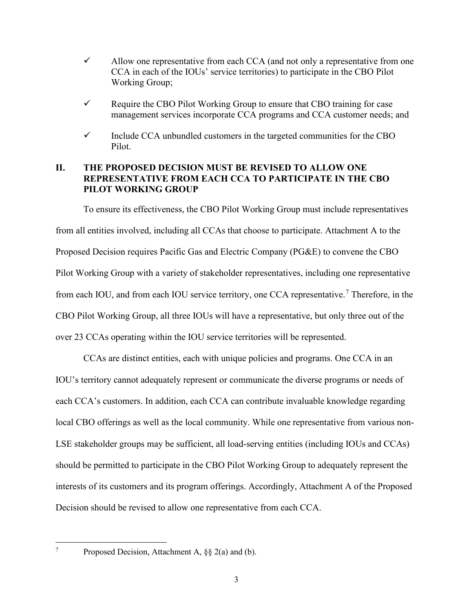- $\checkmark$  Allow one representative from each CCA (and not only a representative from one CCA in each of the IOUs' service territories) to participate in the CBO Pilot Working Group;
- $\checkmark$  Require the CBO Pilot Working Group to ensure that CBO training for case management services incorporate CCA programs and CCA customer needs; and
- $\checkmark$  Include CCA unbundled customers in the targeted communities for the CBO Pilot.

#### <span id="page-6-0"></span>**II. THE PROPOSED DECISION MUST BE REVISED TO ALLOW ONE REPRESENTATIVE FROM EACH CCA TO PARTICIPATE IN THE CBO PILOT WORKING GROUP**

To ensure its effectiveness, the CBO Pilot Working Group must include representatives from all entities involved, including all CCAs that choose to participate. Attachment A to the Proposed Decision requires Pacific Gas and Electric Company (PG&E) to convene the CBO Pilot Working Group with a variety of stakeholder representatives, including one representative from each IOU, and from each IOU service territory, one CCA representative.<sup>[7](#page-6-1)</sup> Therefore, in the CBO Pilot Working Group, all three IOUs will have a representative, but only three out of the over 23 CCAs operating within the IOU service territories will be represented.

CCAs are distinct entities, each with unique policies and programs. One CCA in an IOU's territory cannot adequately represent or communicate the diverse programs or needs of each CCA's customers. In addition, each CCA can contribute invaluable knowledge regarding local CBO offerings as well as the local community. While one representative from various non-LSE stakeholder groups may be sufficient, all load-serving entities (including IOUs and CCAs) should be permitted to participate in the CBO Pilot Working Group to adequately represent the interests of its customers and its program offerings. Accordingly, Attachment A of the Proposed Decision should be revised to allow one representative from each CCA.

<span id="page-6-1"></span>7

Proposed Decision, Attachment A, §§ 2(a) and (b).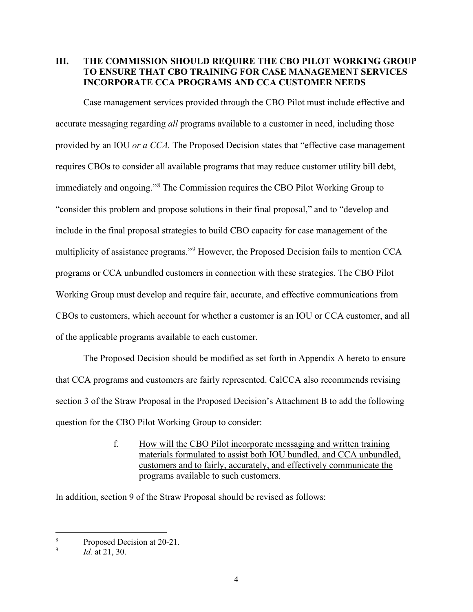#### <span id="page-7-0"></span>**III. THE COMMISSION SHOULD REQUIRE THE CBO PILOT WORKING GROUP TO ENSURE THAT CBO TRAINING FOR CASE MANAGEMENT SERVICES INCORPORATE CCA PROGRAMS AND CCA CUSTOMER NEEDS**

Case management services provided through the CBO Pilot must include effective and accurate messaging regarding *all* programs available to a customer in need, including those provided by an IOU *or a CCA.* The Proposed Decision states that "effective case management requires CBOs to consider all available programs that may reduce customer utility bill debt, immediately and ongoing."<sup>[8](#page-7-1)</sup> The Commission requires the CBO Pilot Working Group to "consider this problem and propose solutions in their final proposal," and to "develop and include in the final proposal strategies to build CBO capacity for case management of the multiplicity of assistance programs."<sup>[9](#page-7-2)</sup> However, the Proposed Decision fails to mention CCA programs or CCA unbundled customers in connection with these strategies. The CBO Pilot Working Group must develop and require fair, accurate, and effective communications from CBOs to customers, which account for whether a customer is an IOU or CCA customer, and all of the applicable programs available to each customer.

The Proposed Decision should be modified as set forth in Appendix A hereto to ensure that CCA programs and customers are fairly represented. CalCCA also recommends revising section 3 of the Straw Proposal in the Proposed Decision's Attachment B to add the following question for the CBO Pilot Working Group to consider:

> f. How will the CBO Pilot incorporate messaging and written training materials formulated to assist both IOU bundled, and CCA unbundled, customers and to fairly, accurately, and effectively communicate the programs available to such customers.

In addition, section 9 of the Straw Proposal should be revised as follows:

<span id="page-7-1"></span><sup>8</sup> Proposed Decision at 20-21.

<span id="page-7-2"></span><sup>9</sup> *Id.* at 21, 30.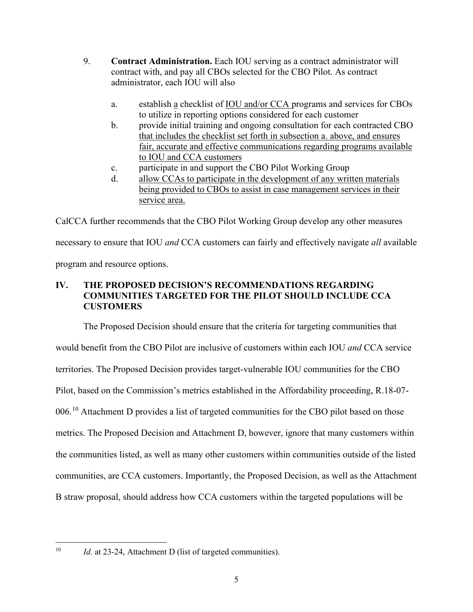- 9. **Contract Administration.** Each IOU serving as a contract administrator will contract with, and pay all CBOs selected for the CBO Pilot. As contract administrator, each IOU will also
	- a. establish a checklist of IOU and/or CCA programs and services for CBOs to utilize in reporting options considered for each customer
	- b. provide initial training and ongoing consultation for each contracted CBO that includes the checklist set forth in subsection a. above, and ensures fair, accurate and effective communications regarding programs available to IOU and CCA customers
	- c. participate in and support the CBO Pilot Working Group
	- d. allow CCAs to participate in the development of any written materials being provided to CBOs to assist in case management services in their service area.

CalCCA further recommends that the CBO Pilot Working Group develop any other measures necessary to ensure that IOU *and* CCA customers can fairly and effectively navigate *all* available program and resource options.

## <span id="page-8-0"></span>**IV. THE PROPOSED DECISION'S RECOMMENDATIONS REGARDING COMMUNITIES TARGETED FOR THE PILOT SHOULD INCLUDE CCA CUSTOMERS**

The Proposed Decision should ensure that the criteria for targeting communities that would benefit from the CBO Pilot are inclusive of customers within each IOU *and* CCA service territories. The Proposed Decision provides target-vulnerable IOU communities for the CBO Pilot, based on the Commission's metrics established in the Affordability proceeding, R.18-07- 006.<sup>10</sup> Attachment D provides a list of targeted communities for the CBO pilot based on those metrics. The Proposed Decision and Attachment D, however, ignore that many customers within the communities listed, as well as many other customers within communities outside of the listed communities, are CCA customers. Importantly, the Proposed Decision, as well as the Attachment B straw proposal, should address how CCA customers within the targeted populations will be

<span id="page-8-1"></span><sup>&</sup>lt;sup>10</sup> *Id.* at 23-24, Attachment D (list of targeted communities).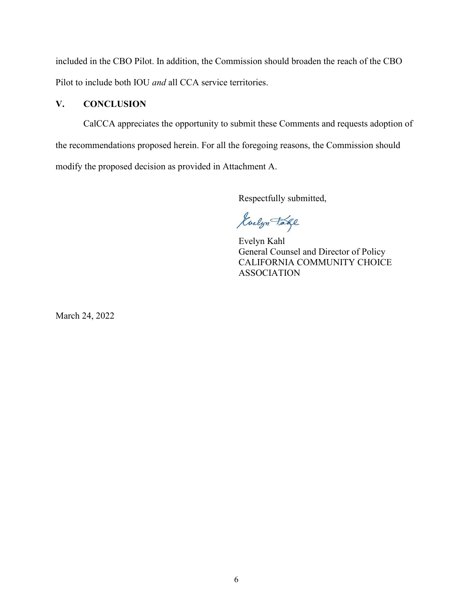included in the CBO Pilot. In addition, the Commission should broaden the reach of the CBO Pilot to include both IOU *and* all CCA service territories.

#### <span id="page-9-0"></span>**V. CONCLUSION**

CalCCA appreciates the opportunity to submit these Comments and requests adoption of the recommendations proposed herein. For all the foregoing reasons, the Commission should modify the proposed decision as provided in Attachment A.

Respectfully submitted,

Guelyn Take

Evelyn Kahl General Counsel and Director of Policy CALIFORNIA COMMUNITY CHOICE ASSOCIATION

March 24, 2022